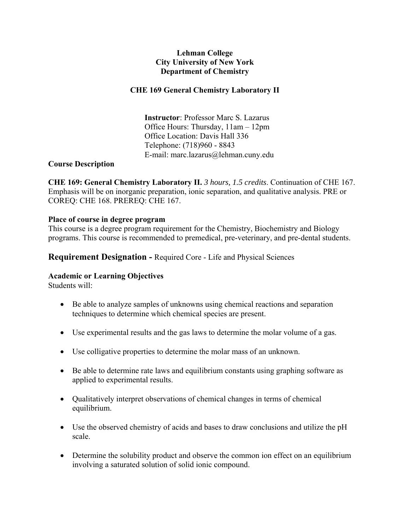## **Lehman College City University of New York Department of Chemistry**

## **CHE 169 General Chemistry Laboratory II**

 **Instructor**: Professor Marc S. Lazarus Office Hours: Thursday, 11am – 12pm Office Location: Davis Hall 336 Telephone: (718)960 - 8843 E-mail: marc.lazarus@lehman.cuny.edu

#### **Course Description**

**CHE 169: General Chemistry Laboratory II.** *3 hours, 1.5 credits*. Continuation of CHE 167. Emphasis will be on inorganic preparation, ionic separation, and qualitative analysis. PRE or COREQ: CHE 168. PREREQ: CHE 167.

#### **Place of course in degree program**

This course is a degree program requirement for the Chemistry, Biochemistry and Biology programs. This course is recommended to premedical, pre-veterinary, and pre-dental students.

## **Requirement Designation -** Required Core - Life and Physical Sciences

## **Academic or Learning Objectives**

Students will:

- Be able to analyze samples of unknowns using chemical reactions and separation techniques to determine which chemical species are present.
- Use experimental results and the gas laws to determine the molar volume of a gas.
- Use colligative properties to determine the molar mass of an unknown.
- Be able to determine rate laws and equilibrium constants using graphing software as applied to experimental results.
- Qualitatively interpret observations of chemical changes in terms of chemical equilibrium.
- Use the observed chemistry of acids and bases to draw conclusions and utilize the pH scale.
- Determine the solubility product and observe the common ion effect on an equilibrium involving a saturated solution of solid ionic compound.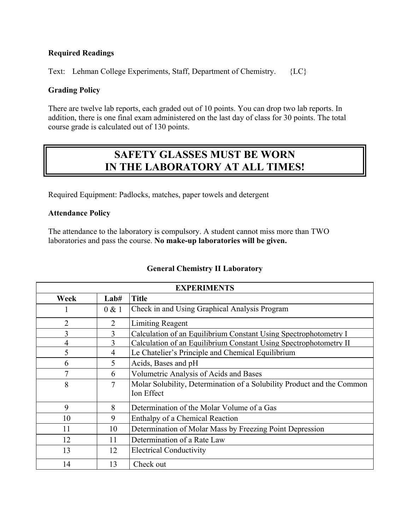## **Required Readings**

Text: Lehman College Experiments, Staff, Department of Chemistry. {LC}

#### **Grading Policy**

There are twelve lab reports, each graded out of 10 points. You can drop two lab reports. In addition, there is one final exam administered on the last day of class for 30 points. The total course grade is calculated out of 130 points.

# **SAFETY GLASSES MUST BE WORN IN THE LABORATORY AT ALL TIMES!**

Required Equipment: Padlocks, matches, paper towels and detergent

#### **Attendance Policy**

The attendance to the laboratory is compulsory. A student cannot miss more than TWO laboratories and pass the course. **No make-up laboratories will be given.** 

| <b>EXPERIMENTS</b> |                |                                                                                      |  |  |  |  |  |
|--------------------|----------------|--------------------------------------------------------------------------------------|--|--|--|--|--|
| Week               | Lab#           | <b>Title</b>                                                                         |  |  |  |  |  |
| 1                  | 0 & 1          | Check in and Using Graphical Analysis Program                                        |  |  |  |  |  |
| $\overline{2}$     | $\overline{2}$ | <b>Limiting Reagent</b>                                                              |  |  |  |  |  |
| $\overline{3}$     | 3              | Calculation of an Equilibrium Constant Using Spectrophotometry I                     |  |  |  |  |  |
| $\overline{4}$     | 3              | Calculation of an Equilibrium Constant Using Spectrophotometry II                    |  |  |  |  |  |
| 5                  | 4              | Le Chatelier's Principle and Chemical Equilibrium                                    |  |  |  |  |  |
| 6                  | 5              | Acids, Bases and pH                                                                  |  |  |  |  |  |
| 7                  | 6              | Volumetric Analysis of Acids and Bases                                               |  |  |  |  |  |
| 8                  | 7              | Molar Solubility, Determination of a Solubility Product and the Common<br>Ion Effect |  |  |  |  |  |
| 9                  | 8              | Determination of the Molar Volume of a Gas                                           |  |  |  |  |  |
| 10                 | 9              | Enthalpy of a Chemical Reaction                                                      |  |  |  |  |  |
| 11                 | 10             | Determination of Molar Mass by Freezing Point Depression                             |  |  |  |  |  |
| 12                 | 11             | Determination of a Rate Law                                                          |  |  |  |  |  |
| 13                 | 12             | <b>Electrical Conductivity</b>                                                       |  |  |  |  |  |
| 14                 | 13             | Check out                                                                            |  |  |  |  |  |

## **General Chemistry II Laboratory**